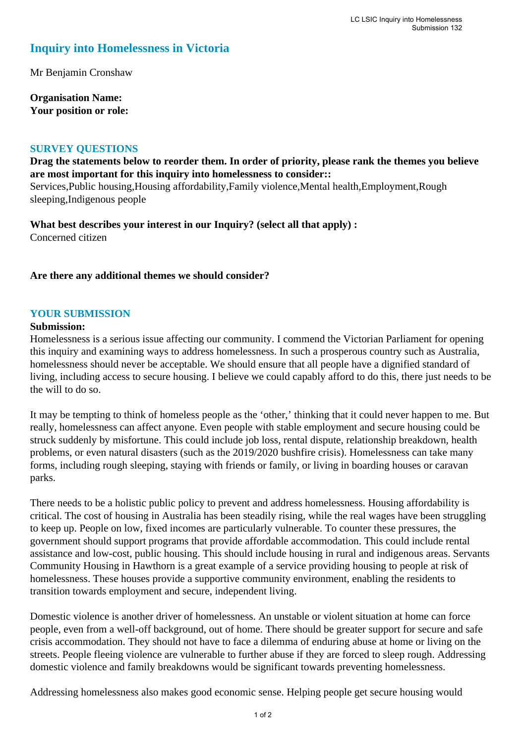# **Inquiry into Homelessness in Victoria**

Mr Benjamin Cronshaw

**Organisation Name: Your position or role:** 

### **SURVEY QUESTIONS**

**Drag the statements below to reorder them. In order of priority, please rank the themes you believe are most important for this inquiry into homelessness to consider::**  Services,Public housing,Housing affordability,Family violence,Mental health,Employment,Rough

sleeping,Indigenous people

**What best describes your interest in our Inquiry? (select all that apply) :**  Concerned citizen

# **Are there any additional themes we should consider?**

# **YOUR SUBMISSION**

#### **Submission:**

Homelessness is a serious issue affecting our community. I commend the Victorian Parliament for opening this inquiry and examining ways to address homelessness. In such a prosperous country such as Australia, homelessness should never be acceptable. We should ensure that all people have a dignified standard of living, including access to secure housing. I believe we could capably afford to do this, there just needs to be the will to do so.

It may be tempting to think of homeless people as the 'other,' thinking that it could never happen to me. But really, homelessness can affect anyone. Even people with stable employment and secure housing could be struck suddenly by misfortune. This could include job loss, rental dispute, relationship breakdown, health problems, or even natural disasters (such as the 2019/2020 bushfire crisis). Homelessness can take many forms, including rough sleeping, staying with friends or family, or living in boarding houses or caravan parks.

There needs to be a holistic public policy to prevent and address homelessness. Housing affordability is critical. The cost of housing in Australia has been steadily rising, while the real wages have been struggling to keep up. People on low, fixed incomes are particularly vulnerable. To counter these pressures, the government should support programs that provide affordable accommodation. This could include rental assistance and low-cost, public housing. This should include housing in rural and indigenous areas. Servants Community Housing in Hawthorn is a great example of a service providing housing to people at risk of homelessness. These houses provide a supportive community environment, enabling the residents to transition towards employment and secure, independent living.

Domestic violence is another driver of homelessness. An unstable or violent situation at home can force people, even from a well-off background, out of home. There should be greater support for secure and safe crisis accommodation. They should not have to face a dilemma of enduring abuse at home or living on the streets. People fleeing violence are vulnerable to further abuse if they are forced to sleep rough. Addressing domestic violence and family breakdowns would be significant towards preventing homelessness.

Addressing homelessness also makes good economic sense. Helping people get secure housing would